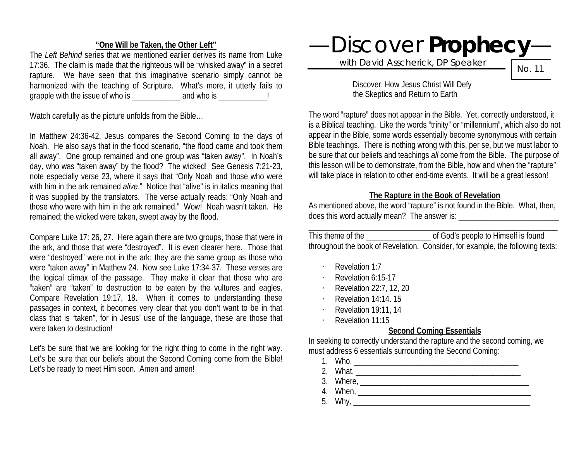### **"One Will be Taken, the Other Left"**

The *Left Behind* series that we mentioned earlier derives its name from Luke 17:36. The claim is made that the righteous will be "whisked away" in a secret rapture. We have seen that this imaginative scenario simply cannot be harmonized with the teaching of Scripture. What's more, it utterly fails to grapple with the issue of who is  $\frac{1}{2}$  and who is  $\frac{1}{2}$ 

Watch carefully as the picture unfolds from the Bible…

In Matthew 24:36-42, Jesus compares the Second Coming to the days of Noah. He also says that in the flood scenario, "the flood came and took them all away". One group remained and one group was "taken away". In Noah's day, who was "taken away" by the flood? The wicked! See Genesis 7:21-23, note especially verse 23, where it says that "Only Noah and those who were with him in the ark remained *alive*." Notice that "alive" is in italics meaning that it was supplied by the translators. The verse actually reads: "Only Noah and those who were with him in the ark remained." Wow! Noah wasn't taken. He remained; the wicked were taken, swept away by the flood.

Compare Luke 17: 26, 27. Here again there are two groups, those that were in the ark, and those that were "destroyed". It is even clearer here. Those that were "destroyed" were not in the ark; they are the same group as those who were "taken away" in Matthew 24. Now see Luke 17:34-37. These verses are the logical climax of the passage. They make it clear that those who are "taken" are "taken" to destruction to be eaten by the vultures and eagles. Compare Revelation 19:17, 18. When it comes to understanding these passages in context, it becomes very clear that you don't want to be in that class that is "taken", for in Jesus' use of the language, these are those that were taken to destruction!

Let's be sure that we are looking for the right thing to come in the right way. Let's be sure that our beliefs about the Second Coming come from the Bible! Let's be ready to meet Him soon. Amen and amen!

—Discover **Prophecy**—

with David Asscherick, DP Speaker

No. 11

Discover: How Jesus Christ Will Defy the Skeptics and Return to Earth

The word "rapture" does not appear in the Bible. Yet, correctly understood, it is a Biblical teaching. Like the words "trinity" or "millennium", which also do not appear in the Bible, some words essentially become synonymous with certain Bible teachings. There is nothing wrong with this, per se, but we must labor to be sure that our beliefs and teachings *all* come from the Bible. The purpose of this lesson will be to demonstrate, from the Bible, how and when the "rapture" will take place in relation to other end-time events. It will be a great lesson!

# **The Rapture in the Book of Revelation**

As mentioned above, the word "rapture" is not found in the Bible. What, then, does this word actually mean? The answer is:

| This theme of the | of God's people to Himself is found                                            |
|-------------------|--------------------------------------------------------------------------------|
|                   | throughout the book of Revelation. Consider, for example, the following texts: |

- · Revelation 1:7
- Revelation 6:15-17
- · Revelation 22:7, 12, 20
- · Revelation 14:14. 15
- · Revelation 19:11, 14
- · Revelation 11:15

# **Second Coming Essentials**

In seeking to correctly understand the rapture and the second coming, we must address 6 essentials surrounding the Second Coming:

- 1. Who, \_\_\_\_\_\_\_\_\_\_\_\_\_\_\_\_\_\_\_\_\_\_\_\_\_\_\_\_\_\_\_\_\_\_\_\_\_\_\_\_\_
- 2. What, \_\_\_\_\_\_\_\_\_\_\_\_\_\_\_\_\_\_\_\_\_\_\_\_\_\_\_\_\_\_\_\_\_\_\_\_\_\_\_\_\_
- 3. Where, \_\_\_\_\_\_\_\_\_\_\_\_\_\_\_\_\_\_\_\_\_\_\_\_\_\_\_\_\_\_\_\_\_\_\_\_\_\_\_\_\_\_
- 
- 4. When, \_\_\_\_\_\_\_\_\_\_\_\_\_\_\_\_\_\_\_\_\_\_\_\_\_\_\_\_\_\_\_\_\_\_\_\_\_\_\_\_\_\_\_ 5. Why, \_\_\_\_\_\_\_\_\_\_\_\_\_\_\_\_\_\_\_\_\_\_\_\_\_\_\_\_\_\_\_\_\_\_\_\_\_\_\_\_\_\_\_\_